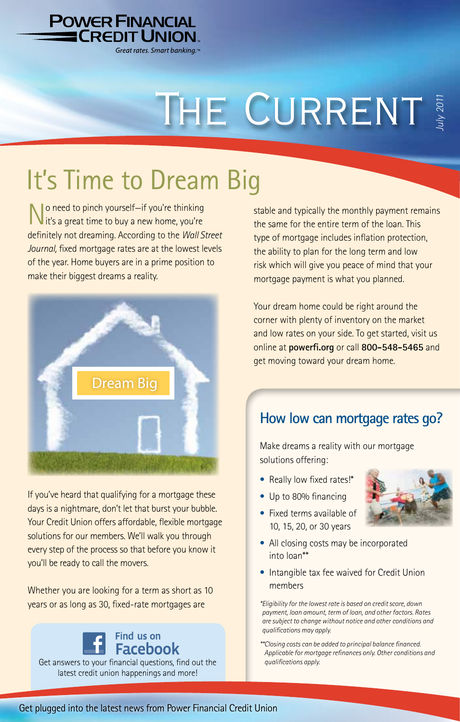

# THE CURRENT

## It's Time to Dream Big

I o need to pinch yourself—if you're thinking  $\blacksquare$  it's a great time to buy a new home, you're definitely not dreaming. According to the *Wall Street Journal,* fixed mortgage rates are at the lowest levels of the year. Home buyers are in a prime position to make their biggest dreams a reality.



If you've heard that qualifying for a mortgage these days is a nightmare, don't let that burst your bubble. Your Credit Union offers affordable, flexible mortgage solutions for our members. We'll walk you through every step of the process so that before you know it you'll be ready to call the movers.

Whether you are looking for a term as short as 10 years or as long as 30, fixed-rate mortgages are

Find us on **Facebook** Get answers to your financial questions, find out the latest credit union happenings and more!

stable and typically the monthly payment remains the same for the entire term of the loan. This type of mortgage includes inflation protection, the ability to plan for the long term and low risk which will give you peace of mind that your mortgage payment is what you planned.

Your dream home could be right around the corner with plenty of inventory on the market and low rates on your side. To get started, visit us online at **powerfi.org** or call **800-548-5465** and get moving toward your dream home.

### **How low can mortgage rates go?**

Make dreams a reality with our mortgage solutions offering:

- Really low fixed rates!\*
- Up to 80% financing



- Fixed terms available of 10, 15, 20, or 30 years
- All closing costs may be incorporated into loan\*\*
- Intangible tax fee waived for Credit Union members

*\*Eligibility for the lowest rate is based on credit score, down payment, loan amount, term of loan, and other factors. Rates are subject to change without notice and other conditions and qualifications may apply.* 

*\*\*Closing costs can be added to principal balance financed. Applicable for mortgage refinances only. Other conditions and qualifications apply.*

#### Get plugged into the latest news from Power Financial Credit Union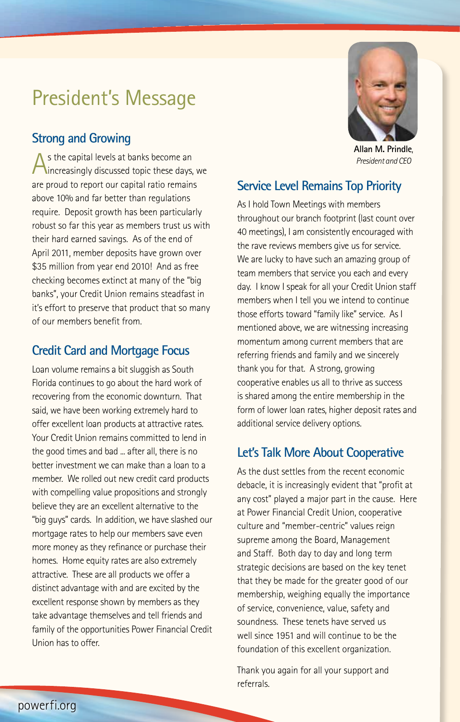## President's Message

### **Strong and Growing**

As the capital levels at banks become an<br>
increasingly discussed topic these days, we are proud to report our capital ratio remains above 10% and far better than regulations require. Deposit growth has been particularly robust so far this year as members trust us with their hard earned savings. As of the end of April 2011, member deposits have grown over \$35 million from year end 2010! And as free checking becomes extinct at many of the "big banks", your Credit Union remains steadfast in it's effort to preserve that product that so many of our members benefit from.

### **Credit Card and Mortgage Focus**

Loan volume remains a bit sluggish as South Florida continues to go about the hard work of recovering from the economic downturn. That said, we have been working extremely hard to offer excellent loan products at attractive rates. Your Credit Union remains committed to lend in the good times and bad ... after all, there is no better investment we can make than a loan to a member. We rolled out new credit card products with compelling value propositions and strongly believe they are an excellent alternative to the "big guys" cards. In addition, we have slashed our mortgage rates to help our members save even more money as they refinance or purchase their homes. Home equity rates are also extremely attractive. These are all products we offer a distinct advantage with and are excited by the excellent response shown by members as they take advantage themselves and tell friends and family of the opportunities Power Financial Credit Union has to offer.



**Allan M. Prindle**, *President and CEO*

### **Service Level Remains Top Priority**

As I hold Town Meetings with members throughout our branch footprint (last count over 40 meetings), I am consistently encouraged with the rave reviews members give us for service. We are lucky to have such an amazing group of team members that service you each and every day. I know I speak for all your Credit Union staff members when I tell you we intend to continue those efforts toward "family like" service. As I mentioned above, we are witnessing increasing momentum among current members that are referring friends and family and we sincerely thank you for that. A strong, growing cooperative enables us all to thrive as success is shared among the entire membership in the form of lower loan rates, higher deposit rates and additional service delivery options.

### **Let's Talk More About Cooperative**

As the dust settles from the recent economic debacle, it is increasingly evident that "profit at any cost" played a major part in the cause. Here at Power Financial Credit Union, cooperative culture and "member-centric" values reign supreme among the Board, Management and Staff. Both day to day and long term strategic decisions are based on the key tenet that they be made for the greater good of our membership, weighing equally the importance of service, convenience, value, safety and soundness. These tenets have served us well since 1951 and will continue to be the foundation of this excellent organization.

Thank you again for all your support and referrals.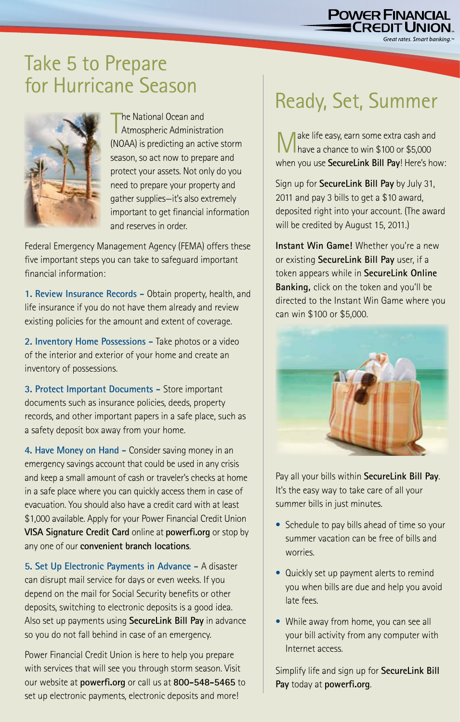## **POWER FINANCIAL**

Great rates. Smart banking.

## Take 5 to Prepare for Hurricane Season



The National Ocean and<br>Atmospheric Administration he National Ocean and (NOAA) is predicting an active storm season, so act now to prepare and protect your assets. Not only do you need to prepare your property and gather supplies—it's also extremely important to get financial information and reserves in order.

Federal Emergency Management Agency (FEMA) offers these five important steps you can take to safeguard important financial information:

**1. Review Insurance Records -** Obtain property, health, and life insurance if you do not have them already and review existing policies for the amount and extent of coverage.

**2. Inventory Home Possessions -** Take photos or a video of the interior and exterior of your home and create an inventory of possessions.

**3. Protect Important Documents -** Store important documents such as insurance policies, deeds, property records, and other important papers in a safe place, such as a safety deposit box away from your home.

**4. Have Money on Hand -** Consider saving money in an emergency savings account that could be used in any crisis and keep a small amount of cash or traveler's checks at home in a safe place where you can quickly access them in case of evacuation. You should also have a credit card with at least \$1,000 available. Apply for your Power Financial Credit Union **VISA Signature Credit Card** online at **powerfi.org** or stop by any one of our **convenient branch locations**.

**5. Set Up Electronic Payments in Advance -** A disaster can disrupt mail service for days or even weeks. If you depend on the mail for Social Security benefits or other deposits, switching to electronic deposits is a good idea. Also set up payments using **SecureLink Bill Pay** in advance so you do not fall behind in case of an emergency.

Power Financial Credit Union is here to help you prepare with services that will see you through storm season. Visit our website at **powerfi.org** or call us at **800-548-5465** to set up electronic payments, electronic deposits and more!

## Ready, Set, Summer

Make life easy, earn some extra cash and have a chance to win \$100 or \$5,000 when you use **SecureLink Bill Pay**! Here's how:

Sign up for **SecureLink Bill Pay** by July 31, 2011 and pay 3 bills to get a \$10 award, deposited right into your account. (The award will be credited by August 15, 2011.)

**Instant Win Game!** Whether you're a new or existing **SecureLink Bill Pay** user, if a token appears while in **SecureLink Online Banking,** click on the token and you'll be directed to the Instant Win Game where you can win \$100 or \$5,000.



Pay all your bills within **SecureLink Bill Pay**. It's the easy way to take care of all your summer bills in just minutes.

- Schedule to pay bills ahead of time so your summer vacation can be free of bills and worries.
- Quickly set up payment alerts to remind you when bills are due and help you avoid late fees.
- While away from home, you can see all your bill activity from any computer with Internet access.

Simplify life and sign up for **SecureLink Bill Pay** today at **powerfi.org**.